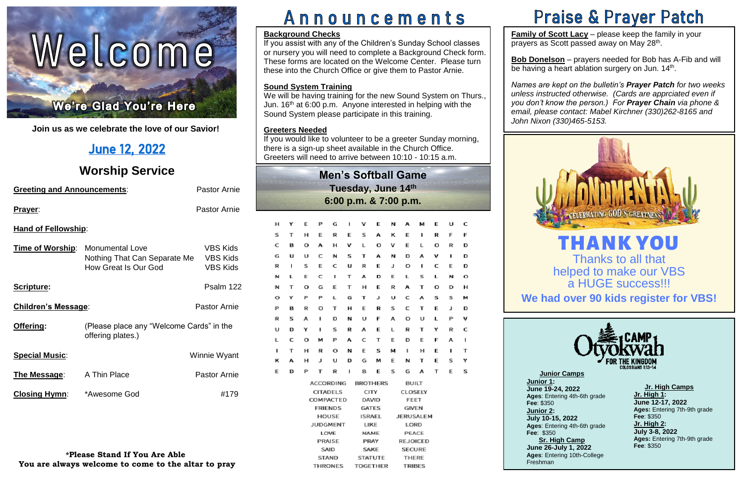# Welcome

#### Į ı,

**Join us as we celebrate the love of our Savior!**

### June 12, 2022

### **Worship Service**

| <b>Greeting and Announcements:</b> |                              | <b>Pastor Arnie</b>                      |        |        |        |  |  |
|------------------------------------|------------------------------|------------------------------------------|--------|--------|--------|--|--|
| Prayer:                            |                              | <b>Pastor Arnie</b>                      |        |        |        |  |  |
| <b>Hand of Fellowship:</b>         |                              | н<br>s                                   | Υ<br>т |        |        |  |  |
|                                    |                              |                                          | c      | в      | ł<br>¢ |  |  |
| Time of Worship:                   | <b>Monumental Love</b>       | <b>VBS Kids</b>                          | G      | U      | ţ      |  |  |
|                                    | Nothing That Can Separate Me | <b>VBS Kids</b>                          | R      |        | ř,     |  |  |
|                                    | How Great Is Our God         | <b>VBS Kids</b>                          | N      | г      | E      |  |  |
|                                    |                              | Psalm 122                                | N      | т      | Ç      |  |  |
| Scripture:                         |                              |                                          | O      | Υ      | F      |  |  |
| <b>Children's Message:</b>         |                              | <b>Pastor Arnie</b>                      |        |        |        |  |  |
|                                    |                              |                                          | P<br>R | в<br>s | ŀ<br>J |  |  |
| Offering:                          |                              | (Please place any "Welcome Cards" in the |        |        |        |  |  |
|                                    | offering plates.)            |                                          |        |        | ١      |  |  |
|                                    |                              |                                          | L      | с      | ¢      |  |  |
| <b>Special Music:</b>              |                              | Winnie Wyant                             | п      | т      | ł      |  |  |
|                                    |                              |                                          | к      | А      | ł      |  |  |
| The Message:                       | A Thin Place                 | <b>Pastor Arnie</b>                      | E      | D      |        |  |  |
| <b>Closing Hymn:</b>               | *Awesome God                 | #179                                     |        |        |        |  |  |
|                                    |                              |                                          |        |        |        |  |  |
|                                    |                              |                                          |        |        |        |  |  |
|                                    |                              |                                          |        |        |        |  |  |
|                                    |                              |                                          |        |        |        |  |  |

**Family of Scott Lacy** – please keep the family in your prayers as Scott passed away on May 28<sup>th</sup>.

**Bob Donelson** – prayers needed for Bob has A-Fib and will be having a heart ablation surgery on Jun. 14<sup>th</sup>.

#### **\*Please Stand If You Are Able You are always welcome to come to the altar to pray**

### Announcements



### **Praise & Prayer Patch**



*Names are kept on the bulletin's Prayer Patch for two weeks unless instructed otherwise. (Cards are apprciated even if you don't know the person.) For Prayer Chain via phone & email, please contact: Mabel Kirchner (330)262-8165 and John Nixon (330)465-5153.*

#### **Background Checks**

If you assist with any of the Children's Sunday School classes or nursery you will need to complete a Background Check form. These forms are located on the Welcome Center. Please turn these into the Church Office or give them to Pastor Arnie.

#### **Sound System Training**

#### Thanks to all that  THANK YOU helped to make our VBS a HUGE success!!!

 **We had over 90 kids register for VBS!**

We will be having training for the new Sound System on Thurs., Jun. 16th at 6:00 p.m. Anyone interested in helping with the Sound System please participate in this training.

#### **Greeters Needed**

If you would like to volunteer to be a greeter Sunday morning, there is a sign-up sheet available in the Church Office. Greeters will need to arrive between 10:10 - 10:15 a.m.

> **Junior Camps Junior 1: June 19-24, 2022 Ages**: Entering 4th-6th grade **Fee**: \$350 **Junior 2: July 10-15, 2022**

> **Ages**: Entering 4th-6th grade **Fee**: \$350

**Sr. High Camp June 26-July 1, 2022 Ages**: Entering 10th-College Freshman

**Fee**: \$350

**Jr. High Camps Jr. High 1: June 12-17, 2022 Ages:** Entering 7th-9th grade **Fee**: \$350 **Jr. High 2: July 3-8, 2022 Ages:** Entering 7th-9th grade **Fee**: \$350

**Men's Softball Game**

| IVI C III<br><b>3 JUILUAIL UAILIU</b>        |   |   |   |   |                 |   |                 |                |   |               |                 |   |   |   |  |
|----------------------------------------------|---|---|---|---|-----------------|---|-----------------|----------------|---|---------------|-----------------|---|---|---|--|
| Tuesday, June 14th                           |   |   |   |   |                 |   |                 |                |   |               |                 |   |   |   |  |
| 6:00 p.m. & 7:00 p.m.                        |   |   |   |   |                 |   |                 |                |   |               |                 |   |   |   |  |
|                                              |   |   |   |   |                 |   |                 |                |   |               |                 |   |   |   |  |
|                                              | н | Υ | E | P | G               | ٠ | v               | E              | N | А             | м               | E | υ | c |  |
|                                              | s | т | н | Е | R               | E | s               | А              | к | E             | ٠               | R | F | F |  |
|                                              | с | в | o | А | н               | v | L               | o              | v | E             | L               | o | R | D |  |
|                                              | G | U | U | c | N               | s | т               | А              | N | D             | А               | v | 1 | D |  |
|                                              | R | 1 | s | E | c               | υ | R               | E              | J | o             | ٠               | c | Е | D |  |
|                                              | N | L | Е | c | п               | т | А               | D              | Е | L             | s               | L | N | o |  |
|                                              | N | т | o | G | E               | T | н               | Е              | R | Α             | т               | o | D | н |  |
|                                              | o | Υ | P | P | L               | G | т               | J              | υ | c             | А               | s | s | м |  |
|                                              | Р | в | R | o | т               | н | Ε               | R              | s | C             | т               | E | J | D |  |
|                                              | R | s | Α | ٠ | D               | N | υ               | F              | Α | o             | U               | L | Р | v |  |
|                                              | u | D | Y | ٠ | s               | R | Α               | Е              | L | R             | т               | Υ | R | c |  |
|                                              | L | c | o | м | Ρ               | А | c               | т              | Е | D             | E               | F | Α | п |  |
|                                              | п | т | н | R | o               | N | Е               | s              | м | ı             | н               | Е | ı | т |  |
|                                              | κ | А | н | J | U               | D | G               | м              | E | N             | т               | E | s | Y |  |
|                                              | E | D | P | т | R               | ı | в               | Е              | s | G             | А               | т | E | s |  |
| <b>ACCORDING</b><br><b>BROTHERS</b><br>BUILT |   |   |   |   |                 |   |                 |                |   |               |                 |   |   |   |  |
|                                              |   |   |   |   | CITADELS        |   | CITY            |                |   | CLOSELY       |                 |   |   |   |  |
|                                              |   |   |   |   | COMPACTED       |   |                 | DAVID          |   | FEET          |                 |   |   |   |  |
|                                              |   |   |   |   | <b>FRIENDS</b>  |   | <b>GATES</b>    |                |   | <b>GIVEN</b>  |                 |   |   |   |  |
|                                              |   |   |   |   | HOUSE           |   |                 | <b>ISRAEL</b>  |   |               | JERUSALEM       |   |   |   |  |
|                                              |   |   |   |   | <b>JUDGMENT</b> |   | LIKE            |                |   | LORD          |                 |   |   |   |  |
|                                              |   |   |   |   | LOVE            |   | <b>NAME</b>     |                |   | PEACE         |                 |   |   |   |  |
|                                              |   |   |   |   | <b>PRAISE</b>   |   | PRAY            |                |   |               | <b>REJOICED</b> |   |   |   |  |
|                                              |   |   |   |   | SAID            |   | <b>SAKE</b>     |                |   | <b>SECURE</b> |                 |   |   |   |  |
|                                              |   |   |   |   | <b>STAND</b>    |   |                 | <b>STATUTE</b> |   | <b>THERE</b>  |                 |   |   |   |  |
|                                              |   |   |   |   | <b>THRONES</b>  |   | <b>TOGETHER</b> |                |   | <b>TRIBES</b> |                 |   |   |   |  |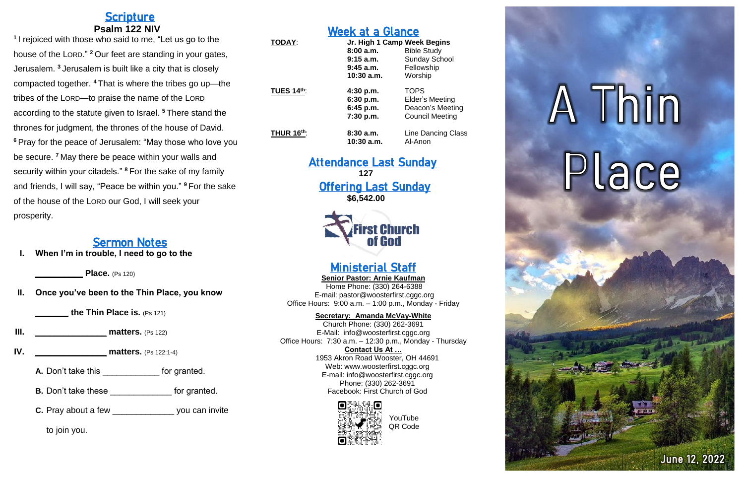### **Scripture Psalm 122 NIV**

**<sup>1</sup>**I rejoiced with those who said to me, "Let us go to the house of the LORD." **<sup>2</sup>** Our feet are standing in your gates, Jerusalem. **<sup>3</sup>** Jerusalem is built like a city that is closely compacted together. **<sup>4</sup>** That is where the tribes go up—the tribes of the LORD—to praise the name of the LORD according to the statute given to Israel. **<sup>5</sup>** There stand the thrones for judgment, the thrones of the house of David. **<sup>6</sup>** Pray for the peace of Jerusalem: "May those who love you be secure. **<sup>7</sup>** May there be peace within your walls and security within your citadels." **<sup>8</sup>** For the sake of my family and friends, I will say, "Peace be within you." **<sup>9</sup>** For the sake of the house of the LORD our God, I will seek your prosperity.

### Sermon Notes

**I. When I'm in trouble, I need to go to the** 

**Place.** (Ps 120)

**II. Once you've been to the Thin Place, you know** 

**the Thin Place is.** (Ps 121)

- **III. \_\_\_\_\_\_\_\_\_\_\_\_\_\_\_ matters.** (Ps 122)
- **IV. matters.** (Ps 122:1-4)
	- **A.** Don't take this \_\_\_\_\_\_\_\_\_\_\_\_ for granted.
	- **B.** Don't take these \_\_\_\_\_\_\_\_\_\_\_\_\_\_ for granted.
	- **C.** Pray about a few \_\_\_\_\_\_\_\_\_\_\_\_\_ you can invite

to join you.

### Week at a Glance

| <b>TODAY:</b>     | 8:00a.m.<br>$9:15$ a.m.<br>$9:45$ a.m.           | Jr. High 1 Camp Week Begins<br><b>Bible Study</b><br><b>Sunday School</b><br>Fellowship |  |  |  |  |
|-------------------|--------------------------------------------------|-----------------------------------------------------------------------------------------|--|--|--|--|
|                   | 10:30 a.m.                                       | Worship                                                                                 |  |  |  |  |
| <b>TUES 14th:</b> | 4:30 p.m.<br>6:30 p.m.<br>6:45 p.m.<br>7:30 p.m. | <b>TOPS</b><br><b>Elder's Meeting</b><br>Deacon's Meeting<br><b>Council Meeting</b>     |  |  |  |  |
| <b>THUR 16th:</b> | 8:30a.m.<br>10:30 a.m.                           | Line Dancing Class<br>Al-Anon                                                           |  |  |  |  |

Attendance Last Sunday **127 Offering Last Sunday \$6,542.00**



### Ministerial Staff

**Senior Pastor: Arnie Kaufman** Home Phone: (330) 264-6388 E-mail: [pastor@woosterfirst.cggc.org](mailto:pastor@woosterfirst.cggc.org) Office Hours: 9:00 a.m. – 1:00 p.m., Monday - Friday

### **Secretary: Amanda McVay-White**

Church Phone: (330) 262-3691 E-Mail: info@woosterfirst.cggc.org Office Hours: 7:30 a.m. – 12:30 p.m., Monday - Thursday **Contact Us At …** 1953 Akron Road Wooster, OH 44691 Web: [www.woosterfirst.cggc.org](http://www.woosterfirst.cggc.org/) E-mail: info@woosterfirst.cggc.org Phone: (330) 262-3691 Facebook: First Church of God



YouTube QR Code

## A Thin  $\overline{\phantom{a}}$ t

 $\overline{1}$ 

ş

.<br>.

en en

i<br>Li

**SERVE** 

il.